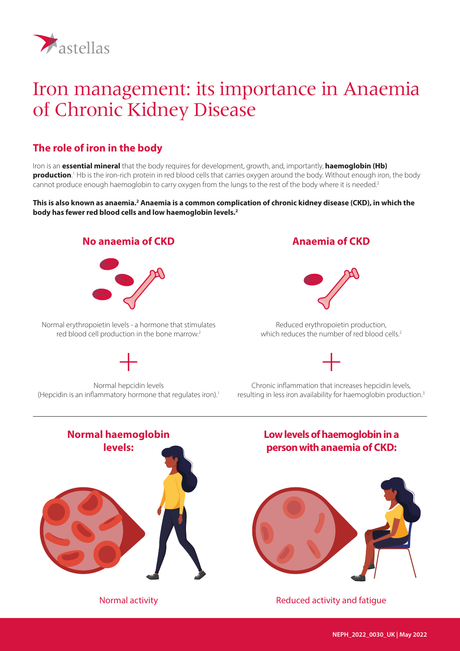

# Iron management: its importance in Anaemia of Chronic Kidney Disease

# **The role of iron in the body**

Iron is an **essential mineral** that the body requires for development, growth, and, importantly, **haemoglobin (Hb) production**. 1 Hb is the iron-rich protein in red blood cells that carries oxygen around the body. Without enough iron, the body cannot produce enough haemoglobin to carry oxygen from the lungs to the rest of the body where it is needed.<sup>2</sup>

#### This is also known as anaemia.<sup>2</sup> Anaemia is a common complication of chronic kidney disease (CKD), in which the **body has fewer red blood cells and low haemoglobin levels.2**

#### **No anaemia of CKD**



Normal erythropoietin levels - a hormone that stimulates red blood cell production in the bone marrow.<sup>2</sup>

### **Anaemia of CKD**



Reduced erythropoietin production, which reduces the number of red blood cells.<sup>2</sup>



Normal hepcidin levels (Hepcidin is an inflammatory hormone that regulates iron).<sup>1</sup>



Chronic inflammation that increases hepcidin levels, resulting in less iron availability for haemoglobin production.3



### **Low levels of haemoglobin in a person with anaemia of CKD:**



Normal activity **Normal activity Reduced activity and fatigue**